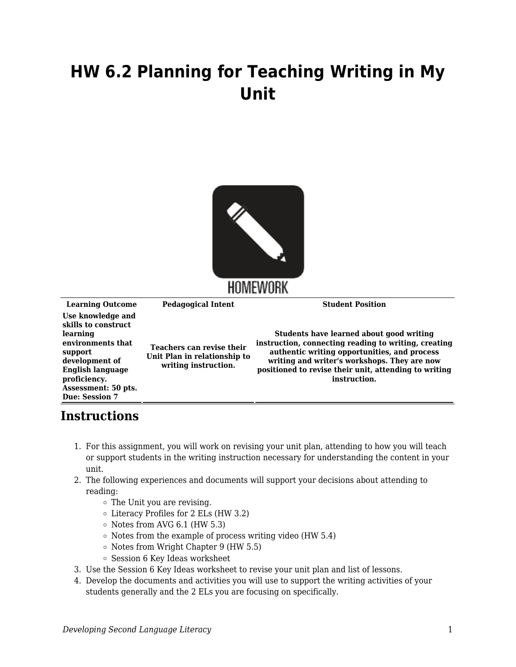## **HW 6.2 Planning for Teaching Writing in My Unit**



**Learning Outcome Pedagogical Intent Student Position Use knowledge and skills to construct learning environments that support development of English language proficiency. Assessment: 50 pts. Due: Session 7 Teachers can revise their Unit Plan in relationship to writing instruction. Students have learned about good writing instruction, connecting reading to writing, creating authentic writing opportunities, and process writing and writer's workshops. They are now positioned to revise their unit, attending to writing instruction.**

## **Instructions**

- 1. For this assignment, you will work on revising your unit plan, attending to how you will teach or support students in the writing instruction necessary for understanding the content in your unit.
- 2. The following experiences and documents will support your decisions about attending to reading:
	- The Unit you are revising.
	- Literacy Profiles for 2 ELs (HW 3.2)
	- $\circ$  Notes from AVG 6.1 (HW 5.3)
	- $\circ$  Notes from the example of process writing video (HW 5.4)
	- $\circ$  Notes from Wright Chapter 9 (HW 5.5)
	- Session 6 Key Ideas worksheet
- 3. Use the Session 6 Key Ideas worksheet to revise your unit plan and list of lessons.
- 4. Develop the documents and activities you will use to support the writing activities of your students generally and the 2 ELs you are focusing on specifically.